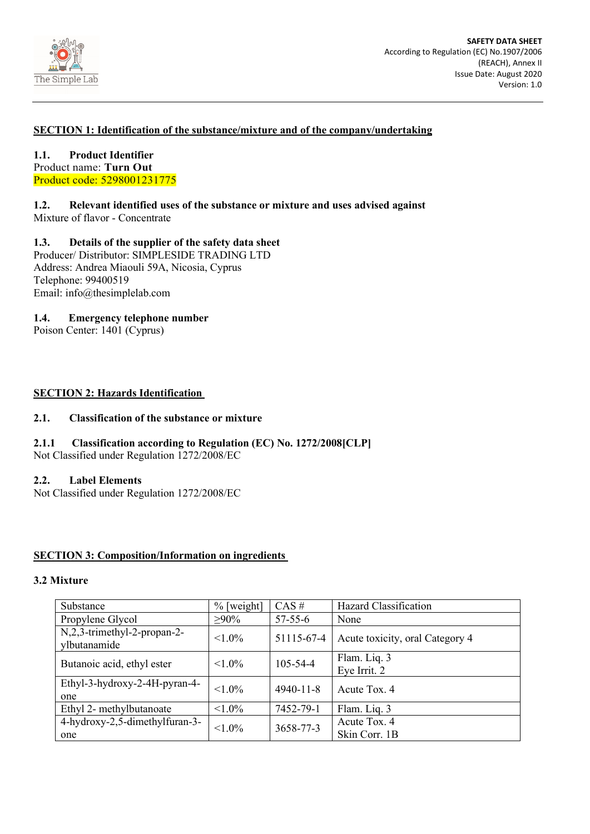

### **SECTION 1: Identification of the substance/mixture and of the company/undertaking**

# **1.1. Product Identifier**

Product name: **Turn Out** Product code: 5298001231775

#### **1.2. Relevant identified uses of the substance or mixture and uses advised against**  Mixture of flavor - Concentrate

**1.3. Details of the supplier of the safety data sheet** Producer/ Distributor: SIMPLESIDE TRADING LTD Address: Andrea Miaouli 59A, Nicosia, Cyprus Telephone: 99400519 Email: info@thesimplelab.com

### **1.4. Emergency telephone number**

Poison Center: 1401 (Cyprus)

### **SECTION 2: Hazards Identification**

### **2.1. Classification of the substance or mixture**

# **2.1.1 Classification according to Regulation (EC) No. 1272/2008[CLP]**

Not Classified under Regulation 1272/2008/EC

### **2.2. Label Elements**

Not Classified under Regulation 1272/2008/EC

### **SECTION 3: Composition/Information on ingredients**

### **3.2 Mixture**

| Substance                                   | % [weight] | $CAS \#$        | Hazard Classification           |
|---------------------------------------------|------------|-----------------|---------------------------------|
| Propylene Glycol                            | $>90\%$    | $57 - 55 - 6$   | None                            |
| N,2,3-trimethyl-2-propan-2-<br>ylbutanamide | $< 1.0\%$  | 51115-67-4      | Acute toxicity, oral Category 4 |
| Butanoic acid, ethyl ester                  | $< 1.0\%$  | $105 - 54 - 4$  | Flam. Liq. 3<br>Eye Irrit. 2    |
| Ethyl-3-hydroxy-2-4H-pyran-4-<br>one        | $< 1.0\%$  | $4940 - 11 - 8$ | Acute Tox. 4                    |
| Ethyl 2- methylbutanoate                    | $< 1.0\%$  | 7452-79-1       | Flam. Liq. 3                    |
| 4-hydroxy-2,5-dimethylfuran-3-<br>one       | $< 1.0\%$  | 3658-77-3       | Acute Tox. 4<br>Skin Corr. 1B   |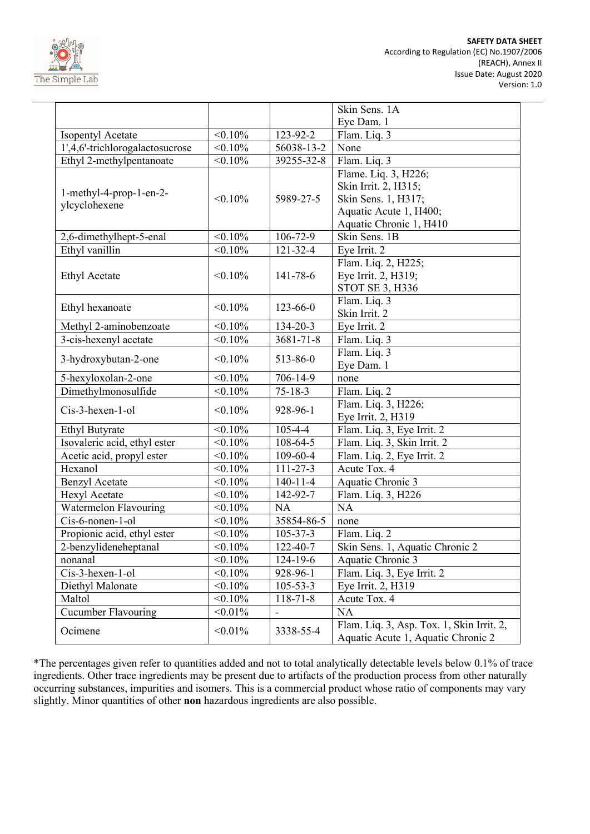

**SAFETY DATA SHEET** According to Regulation (EC) No.1907/2006 (REACH), Annex II Issue Date: August 2020 Version: 1.0

|                                 |            |                 | Skin Sens. 1A                             |
|---------------------------------|------------|-----------------|-------------------------------------------|
|                                 |            |                 | Eye Dam. 1                                |
| Isopentyl Acetate               | $< 0.10\%$ | 123-92-2        | Flam. Liq. 3                              |
| 1',4,6'-trichlorogalactosucrose | $< 0.10\%$ | 56038-13-2      | None                                      |
| Ethyl 2-methylpentanoate        | $< 0.10\%$ | 39255-32-8      | Flam. Liq. 3                              |
|                                 |            |                 | Flame. Liq. 3, H226;                      |
|                                 |            |                 | Skin Irrit. 2, H315;                      |
| 1-methyl-4-prop-1-en-2-         | $< 0.10\%$ | 5989-27-5       | Skin Sens. 1, H317;                       |
| ylcyclohexene                   |            |                 | Aquatic Acute 1, H400;                    |
|                                 |            |                 | Aquatic Chronic 1, H410                   |
| 2,6-dimethylhept-5-enal         | $< 0.10\%$ | 106-72-9        | Skin Sens. $1\overline{B}$                |
| Ethyl vanillin                  | $< 0.10\%$ | $121 - 32 - 4$  | Eye Irrit. 2                              |
|                                 |            |                 | Flam. Liq. 2, H225;                       |
| <b>Ethyl Acetate</b>            | $< 0.10\%$ | 141-78-6        | Eye Irrit. 2, H319;                       |
|                                 |            |                 | STOT SE 3, H336                           |
|                                 |            |                 | Flam. Liq. 3                              |
| Ethyl hexanoate                 | $< 0.10\%$ | $123 - 66 - 0$  | Skin Irrit. 2                             |
| Methyl 2-aminobenzoate          | $< 0.10\%$ | 134-20-3        | Eye Irrit. 2                              |
| 3-cis-hexenyl acetate           | $< 0.10\%$ | $3681 - 71 - 8$ | Flam. Liq. 3                              |
| 3-hydroxybutan-2-one            |            |                 | Flam. Liq. 3                              |
|                                 | $< 0.10\%$ | 513-86-0        | Eye Dam. 1                                |
| 5-hexyloxolan-2-one             | $< 0.10\%$ | 706-14-9        | none                                      |
| Dimethylmonosulfide             | $< 0.10\%$ | $75 - 18 - 3$   | Flam. Liq. 2                              |
|                                 |            |                 | Flam. Liq. 3, H226;                       |
| Cis-3-hexen-1-ol                | $< 0.10\%$ | 928-96-1        | Eye Irrit. 2, H319                        |
| <b>Ethyl Butyrate</b>           | $< 0.10\%$ | $105 - 4 - 4$   | Flam. Liq. 3, Eye Irrit. 2                |
| Isovaleric acid, ethyl ester    | $< 0.10\%$ | 108-64-5        | Flam. Liq. 3, Skin Irrit. 2               |
| Acetic acid, propyl ester       | $< 0.10\%$ | 109-60-4        | Flam. Liq. 2, Eye Irrit. 2                |
| Hexanol                         | $< 0.10\%$ | $111 - 27 - 3$  | Acute Tox. 4                              |
| <b>Benzyl Acetate</b>           | $< 0.10\%$ | $140 - 11 - 4$  | Aquatic Chronic 3                         |
| Hexyl Acetate                   | $< 0.10\%$ | 142-92-7        | Flam. Liq. 3, H226                        |
| <b>Watermelon Flavouring</b>    | $< 0.10\%$ | <b>NA</b>       | NA                                        |
| Cis-6-nonen-1-ol                | $< 0.10\%$ | 35854-86-5      | none                                      |
| Propionic acid, ethyl ester     | $< 0.10\%$ | $105 - 37 - 3$  | Flam. Liq. 2                              |
| 2-benzylideneheptanal           | $< 0.10\%$ | 122-40-7        | Skin Sens. 1, Aquatic Chronic 2           |
| nonanal                         | $< 0.10\%$ | 124-19-6        | Aquatic Chronic 3                         |
| Cis-3-hexen-1-ol                | $< 0.10\%$ | 928-96-1        | Flam. Liq. 3, Eye Irrit. 2                |
| Diethyl Malonate                | $< 0.10\%$ | $105 - 53 - 3$  | Eye Irrit. 2, H319                        |
| Maltol                          | $< 0.10\%$ | $118 - 71 - 8$  | Acute Tox. 4                              |
| <b>Cucumber Flavouring</b>      | $< 0.01\%$ |                 | NA                                        |
| Ocimene                         |            |                 | Flam. Liq. 3, Asp. Tox. 1, Skin Irrit. 2, |
|                                 | $< 0.01\%$ | 3338-55-4       | Aquatic Acute 1, Aquatic Chronic 2        |

\*The percentages given refer to quantities added and not to total analytically detectable levels below 0.1% of trace ingredients. Other trace ingredients may be present due to artifacts of the production process from other naturally occurring substances, impurities and isomers. This is a commercial product whose ratio of components may vary slightly. Minor quantities of other **non** hazardous ingredients are also possible.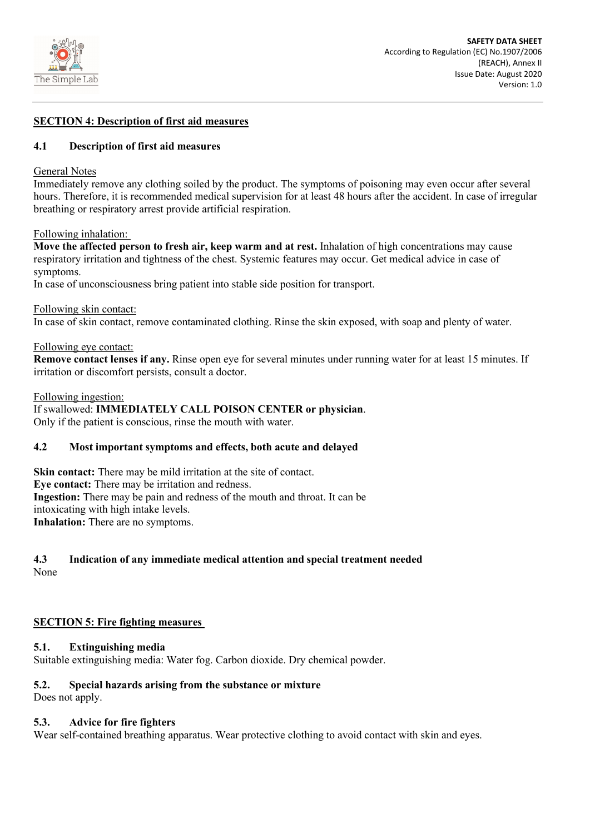

### **SECTION 4: Description of first aid measures**

### **4.1 Description of first aid measures**

#### General Notes

Immediately remove any clothing soiled by the product. The symptoms of poisoning may even occur after several hours. Therefore, it is recommended medical supervision for at least 48 hours after the accident. In case of irregular breathing or respiratory arrest provide artificial respiration.

#### Following inhalation:

**Move the affected person to fresh air, keep warm and at rest.** Inhalation of high concentrations may cause respiratory irritation and tightness of the chest. Systemic features may occur. Get medical advice in case of symptoms.

In case of unconsciousness bring patient into stable side position for transport.

#### Following skin contact:

In case of skin contact, remove contaminated clothing. Rinse the skin exposed, with soap and plenty of water.

#### Following eye contact:

**Remove contact lenses if any.** Rinse open eye for several minutes under running water for at least 15 minutes. If irritation or discomfort persists, consult a doctor.

#### Following ingestion:

### If swallowed: **IMMEDIATELY CALL POISON CENTER or physician**.

Only if the patient is conscious, rinse the mouth with water.

### **4.2 Most important symptoms and effects, both acute and delayed**

**Skin contact:** There may be mild irritation at the site of contact. **Eye contact:** There may be irritation and redness. **Ingestion:** There may be pain and redness of the mouth and throat. It can be intoxicating with high intake levels. Inhalation: There are no symptoms.

### **4.3 Indication of any immediate medical attention and special treatment needed**  None

### **SECTION 5: Fire fighting measures**

### **5.1. Extinguishing media**

Suitable extinguishing media: Water fog. Carbon dioxide. Dry chemical powder.

# **5.2. Special hazards arising from the substance or mixture**

Does not apply.

### **5.3. Advice for fire fighters**

Wear self-contained breathing apparatus. Wear protective clothing to avoid contact with skin and eyes.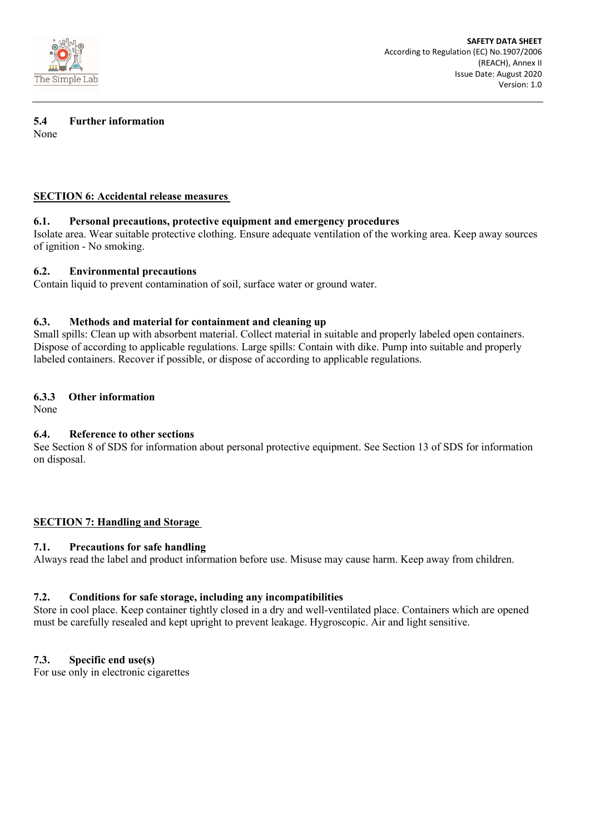

# **5.4 Further information**

None

# **SECTION 6: Accidental release measures**

# **6.1. Personal precautions, protective equipment and emergency procedures**

Isolate area. Wear suitable protective clothing. Ensure adequate ventilation of the working area. Keep away sources of ignition - No smoking.

### **6.2. Environmental precautions**

Contain liquid to prevent contamination of soil, surface water or ground water.

# **6.3. Methods and material for containment and cleaning up**

Small spills: Clean up with absorbent material. Collect material in suitable and properly labeled open containers. Dispose of according to applicable regulations. Large spills: Contain with dike. Pump into suitable and properly labeled containers. Recover if possible, or dispose of according to applicable regulations.

### **6.3.3 Other information**

None

### **6.4. Reference to other sections**

See Section 8 of SDS for information about personal protective equipment. See Section 13 of SDS for information on disposal.

# **SECTION 7: Handling and Storage**

### **7.1. Precautions for safe handling**

Always read the label and product information before use. Misuse may cause harm. Keep away from children.

### **7.2. Conditions for safe storage, including any incompatibilities**

Store in cool place. Keep container tightly closed in a dry and well-ventilated place. Containers which are opened must be carefully resealed and kept upright to prevent leakage. Hygroscopic. Air and light sensitive.

# **7.3. Specific end use(s)**

For use only in electronic cigarettes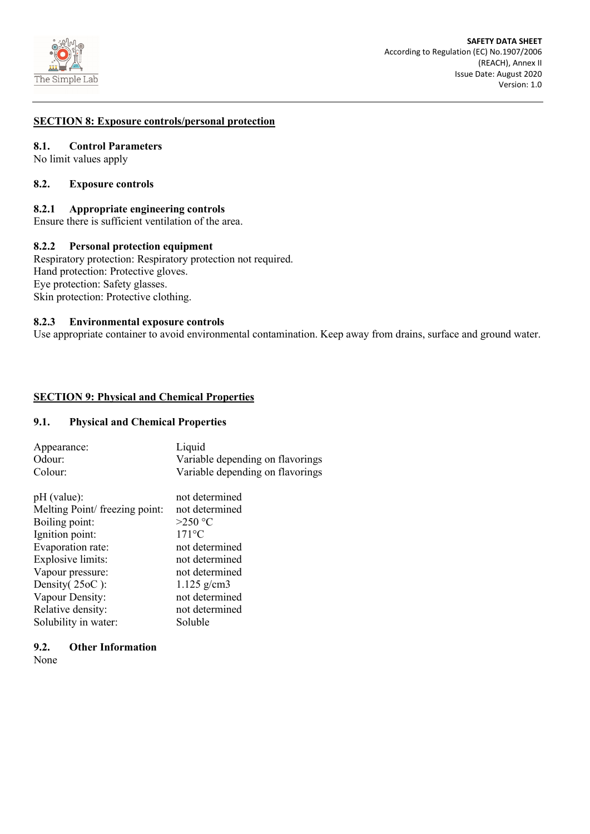

#### **SECTION 8: Exposure controls/personal protection**

### **8.1. Control Parameters**

No limit values apply

#### **8.2. Exposure controls**

#### **8.2.1 Appropriate engineering controls**

Ensure there is sufficient ventilation of the area.

#### **8.2.2 Personal protection equipment**

Respiratory protection: Respiratory protection not required. Hand protection: Protective gloves. Eye protection: Safety glasses. Skin protection: Protective clothing.

#### **8.2.3 Environmental exposure controls**

Use appropriate container to avoid environmental contamination. Keep away from drains, surface and ground water.

### **SECTION 9: Physical and Chemical Properties**

#### **9.1. Physical and Chemical Properties**

| Appearance: | Liquid                           |
|-------------|----------------------------------|
| Odour:      | Variable depending on flavorings |
| Colour:     | Variable depending on flavorings |

| pH (value):                    | not determined  |
|--------------------------------|-----------------|
| Melting Point/ freezing point: | not determined  |
| Boiling point:                 | $>250$ °C       |
| Ignition point:                | $171^{\circ}$ C |
| Evaporation rate:              | not determined  |
| Explosive limits:              | not determined  |
| Vapour pressure:               | not determined  |
| Density $(250C)$ :             | $1.125$ g/cm3   |
| Vapour Density:                | not determined  |
| Relative density:              | not determined  |
| Solubility in water:           | Soluble         |

#### **9.2. Other Information** None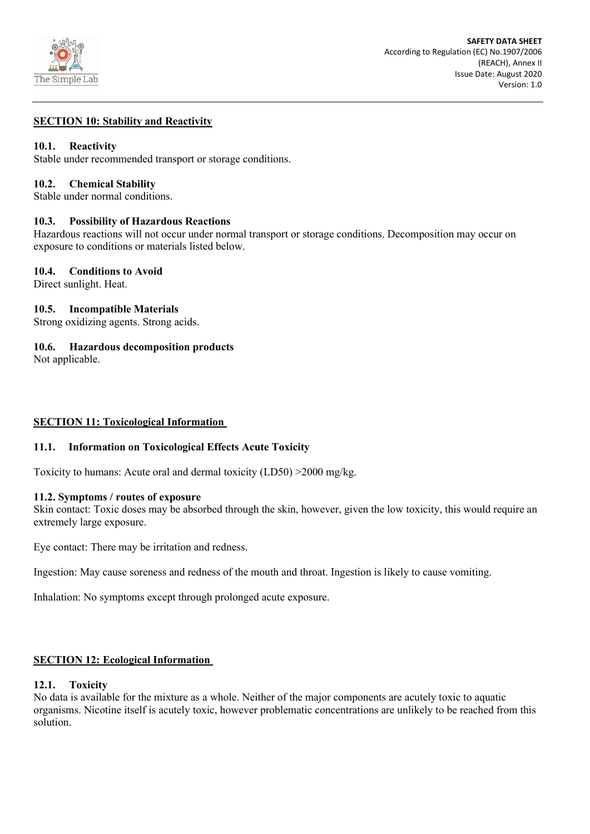

### **SECTION 10: Stability and Reactivity**

### **10.1. Reactivity**

Stable under recommended transport or storage conditions.

### **10.2. Chemical Stability**

Stable under normal conditions.

### **10.3. Possibility of Hazardous Reactions**

Hazardous reactions will not occur under normal transport or storage conditions. Decomposition may occur on exposure to conditions or materials listed below.

### **10.4. Conditions to Avoid**

Direct sunlight. Heat.

### **10.5. Incompatible Materials**

Strong oxidizing agents. Strong acids.

### **10.6. Hazardous decomposition products**

Not applicable.

### **SECTION 11: Toxicological Information**

### **11.1. Information on Toxicological Effects Acute Toxicity**

Toxicity to humans: Acute oral and dermal toxicity (LD50) >2000 mg/kg.

### **11.2. Symptoms / routes of exposure**

Skin contact: Toxic doses may be absorbed through the skin, however, given the low toxicity, this would require an extremely large exposure.

Eye contact: There may be irritation and redness.

Ingestion: May cause soreness and redness of the mouth and throat. Ingestion is likely to cause vomiting.

Inhalation: No symptoms except through prolonged acute exposure.

### **SECTION 12: Ecological Information**

#### **12.1. Toxicity**

No data is available for the mixture as a whole. Neither of the major components are acutely toxic to aquatic organisms. Nicotine itself is acutely toxic, however problematic concentrations are unlikely to be reached from this solution.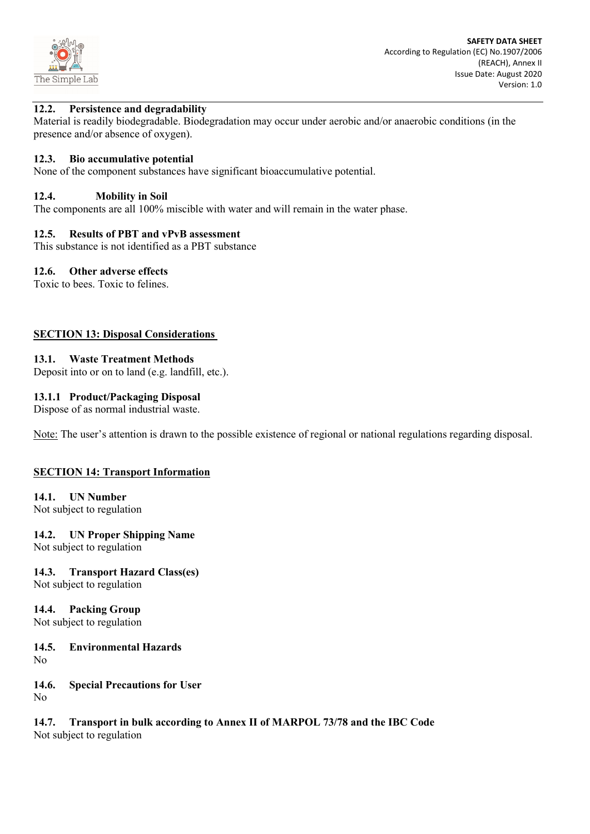

# **12.2. Persistence and degradability**

Material is readily biodegradable. Biodegradation may occur under aerobic and/or anaerobic conditions (in the presence and/or absence of oxygen).

#### **12.3. Bio accumulative potential**

None of the component substances have significant bioaccumulative potential.

#### **12.4. Mobility in Soil**

The components are all 100% miscible with water and will remain in the water phase.

### **12.5. Results of PBT and vPvB assessment**

This substance is not identified as a PBT substance

# **12.6. Other adverse effects**

Toxic to bees. Toxic to felines.

### **SECTION 13: Disposal Considerations**

### **13.1. Waste Treatment Methods**

Deposit into or on to land (e.g. landfill, etc.).

### **13.1.1 Product/Packaging Disposal**

Dispose of as normal industrial waste.

Note: The user's attention is drawn to the possible existence of regional or national regulations regarding disposal.

### **SECTION 14: Transport Information**

### **14.1. UN Number**

Not subject to regulation

### **14.2. UN Proper Shipping Name**

Not subject to regulation

# **14.3. Transport Hazard Class(es)**

Not subject to regulation

# **14.4. Packing Group**

Not subject to regulation

**14.5. Environmental Hazards** No

# **14.6. Special Precautions for User**

No

#### **14.7. Transport in bulk according to Annex II of MARPOL 73/78 and the IBC Code** Not subject to regulation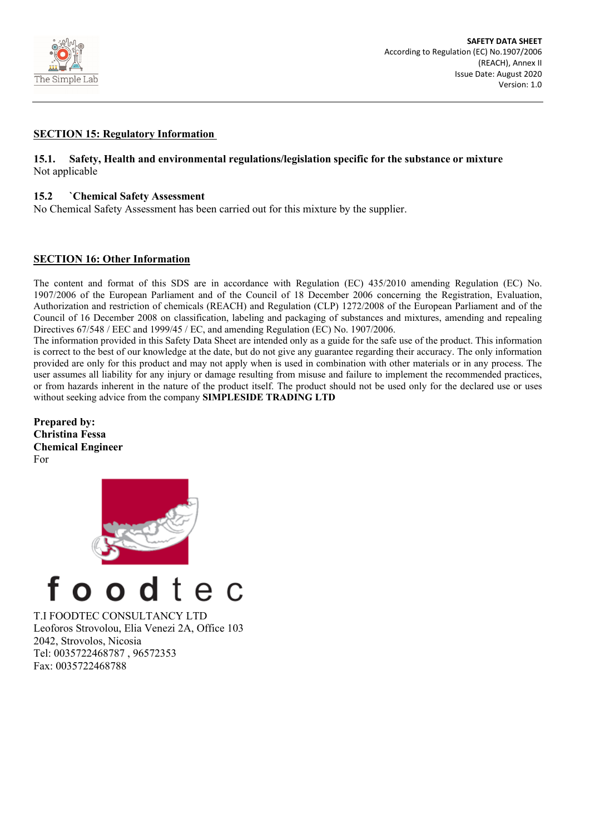

### **SECTION 15: Regulatory Information**

### **15.1. Safety, Health and environmental regulations/legislation specific for the substance or mixture**  Not applicable

#### **15.2 `Chemical Safety Assessment**

No Chemical Safety Assessment has been carried out for this mixture by the supplier.

# **SECTION 16: Other Information**

The content and format of this SDS are in accordance with Regulation (EC) 435/2010 amending Regulation (EC) No. 1907/2006 of the European Parliament and of the Council of 18 December 2006 concerning the Registration, Evaluation, Authorization and restriction of chemicals (REACH) and Regulation (CLP) 1272/2008 of the European Parliament and of the Council of 16 December 2008 on classification, labeling and packaging of substances and mixtures, amending and repealing Directives 67/548 / EEC and 1999/45 / EC, and amending Regulation (EC) No. 1907/2006.

The information provided in this Safety Data Sheet are intended only as a guide for the safe use of the product. This information is correct to the best of our knowledge at the date, but do not give any guarantee regarding their accuracy. The only information provided are only for this product and may not apply when is used in combination with other materials or in any process. The user assumes all liability for any injury or damage resulting from misuse and failure to implement the recommended practices, or from hazards inherent in the nature of the product itself. The product should not be used only for the declared use or uses without seeking advice from the company **SIMPLESIDE TRADING LTD**

**Prepared by: Christina Fessa Chemical Engineer** For





T.I FOODTEC CONSULTANCY LTD Leoforos Strovolou, Elia Venezi 2A, Office 103 2042, Strovolos, Nicosia Tel: 0035722468787 , 96572353 Fax: 0035722468788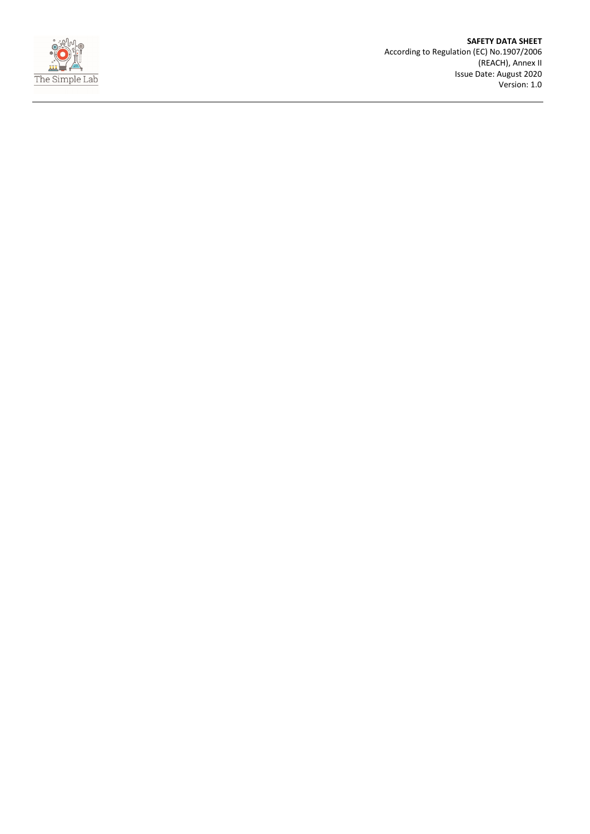

**SAFETY DATA SHEET** According to Regulation (EC) No.1907/2006 (REACH), Annex II Issue Date: August 2020 Version: 1.0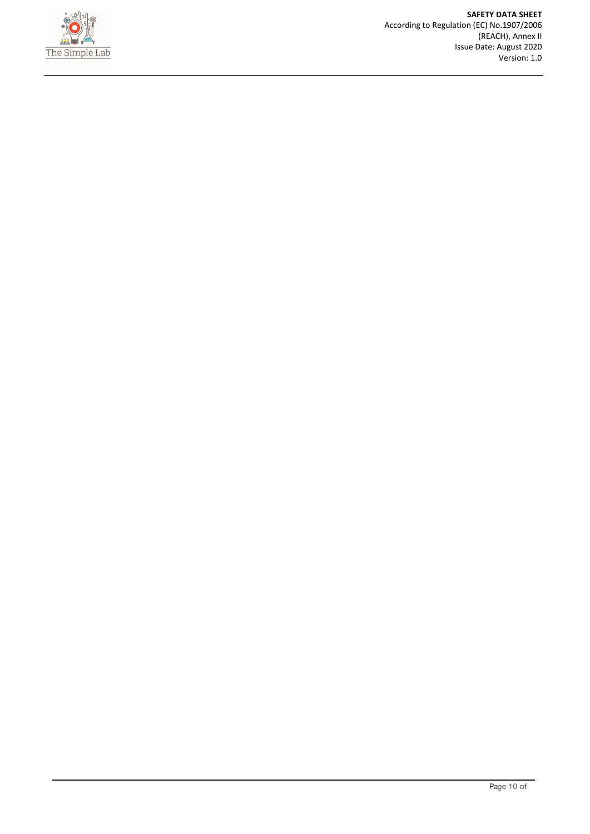

**SAFETY DATA SHEET** According to Regulation (EC) No.1907/2006 (REACH), Annex II Issue Date: August 2020 Version: 1.0